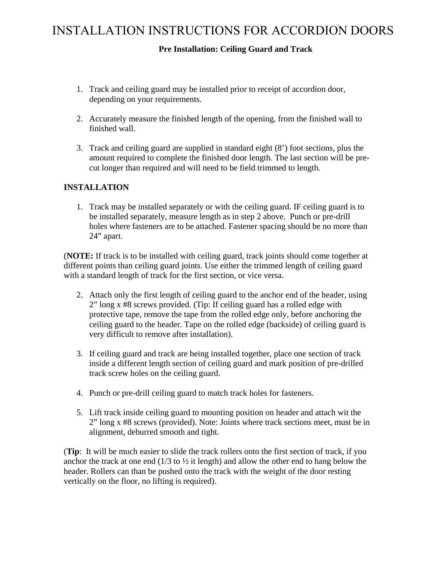### **Pre Installation: Ceiling Guard and Track**

- 1. Track and ceiling guard may be installed prior to receipt of accordion door, depending on your requirements.
- 2. Accurately measure the finished length of the opening, from the finished wall to finished wall.
- 3. Track and ceiling guard are supplied in standard eight (8') foot sections, plus the amount required to complete the finished door length. The last section will be precut longer than required and will need to be field trimmed to length.

#### **INSTALLATION**

1. Track may be installed separately or with the ceiling guard. IF ceiling guard is to be installed separately, measure length as in step 2 above. Punch or pre-drill holes where fasteners are to be attached. Fastener spacing should be no more than 24" apart.

(**NOTE:** If track is to be installed with ceiling guard, track joints should come together at different points than ceiling guard joints. Use either the trimmed length of ceiling guard with a standard length of track for the first section, or vice versa.

- 2. Attach only the first length of ceiling guard to the anchor end of the header, using 2" long x #8 screws provided. (Tip: If ceiling guard has a rolled edge with protective tape, remove the tape from the rolled edge only, before anchoring the ceiling guard to the header. Tape on the rolled edge (backside) of ceiling guard is very difficult to remove after installation).
- 3. If ceiling guard and track are being installed together, place one section of track inside a different length section of ceiling guard and mark position of pre-drilled track screw holes on the ceiling guard.
- 4. Punch or pre-drill ceiling guard to match track holes for fasteners.
- 5. Lift track inside ceiling guard to mounting position on header and attach wit the 2" long x #8 screws (provided). Note: Joints where track sections meet, must be in alignment, deburred smooth and tight.

(**Tip**: It will be much easier to slide the track rollers onto the first section of track, if you anchor the track at one end  $(1/3$  to  $\frac{1}{2}$  it length) and allow the other end to hang below the header. Rollers can than be pushed onto the track with the weight of the door resting vertically on the floor, no lifting is required).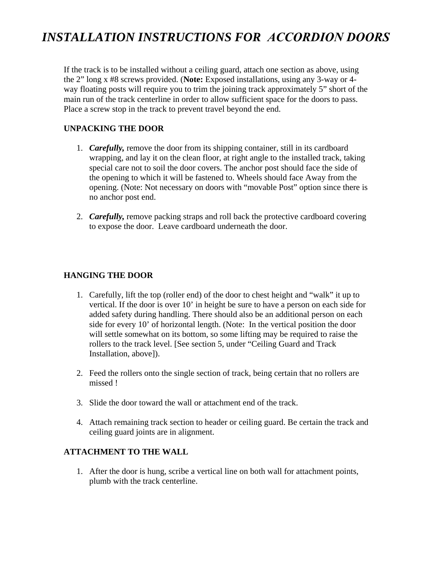## *INSTALLATION INSTRUCTIONS FOR ACCORDION DOORS*

If the track is to be installed without a ceiling guard, attach one section as above, using the 2" long x #8 screws provided. (**Note:** Exposed installations, using any 3-way or 4 way floating posts will require you to trim the joining track approximately 5" short of the main run of the track centerline in order to allow sufficient space for the doors to pass. Place a screw stop in the track to prevent travel beyond the end.

#### **UNPACKING THE DOOR**

- 1. *Carefully,* remove the door from its shipping container, still in its cardboard wrapping, and lay it on the clean floor, at right angle to the installed track, taking special care not to soil the door covers. The anchor post should face the side of the opening to which it will be fastened to. Wheels should face Away from the opening. (Note: Not necessary on doors with "movable Post" option since there is no anchor post end.
- 2. *Carefully,* remove packing straps and roll back the protective cardboard covering to expose the door. Leave cardboard underneath the door.

#### **HANGING THE DOOR**

- 1. Carefully, lift the top (roller end) of the door to chest height and "walk" it up to vertical. If the door is over 10' in height be sure to have a person on each side for added safety during handling. There should also be an additional person on each side for every 10' of horizontal length. (Note: In the vertical position the door will settle somewhat on its bottom, so some lifting may be required to raise the rollers to the track level. [See section 5, under "Ceiling Guard and Track Installation, above]).
- 2. Feed the rollers onto the single section of track, being certain that no rollers are missed !
- 3. Slide the door toward the wall or attachment end of the track.
- 4. Attach remaining track section to header or ceiling guard. Be certain the track and ceiling guard joints are in alignment.

#### **ATTACHMENT TO THE WALL**

1. After the door is hung, scribe a vertical line on both wall for attachment points, plumb with the track centerline.